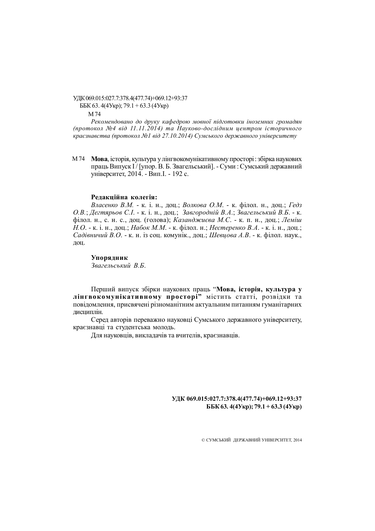УДК 069.015:027.7:378.4(477.74)+069.12+93:37 ББК 63. 4(4Укр); 79.1 + 63.3 (4Укр) М 74

*Рекомендовано до друку кафедрою мовної підготовки іноземних громадян (протокол №4 від 11.11.2014) та Науково-дослідним центром історичного краєзнавства (протокол №1 від 27.10.2014) Сумського державного університету*

**Мова**, історія, культура у лінгвокомунікативному просторі : збірка наукових М 74праць Випуск І / [упор. В. Б. Звагельський]. - Суми : Сумський державний університет, 2014. - Вип.І. - 192 с.

## **Редакційна колегія:**

*Власенко В.М.* - к. і. н., доц.; *Волкова О.М*. - к. філол. н., доц.; *Гедз О.В.*; *Дегтярьов С.І*. - к. і. н., доц.; *Завгородній В.А*.; *Звагельський В.Б*. - к. філол. н., с. н. с., доц. (голова); *Казанджиєва М.С*. - к. п. н., доц.; *Леміш Н.О*. - к. і. н., доц.; *Набок М.М*. - к. філол. н.; *Нестеренко В.А*. - к. і. н., доц.; *Садівничий В.О*. - к. н. із соц. комунік., доц.; *Шевцова А.В*. - к. філол. наук., доц.

# **Упорядник**

*Звагельський В.Б*.

Перший випуск збірки наукових праць "**Мова, історія, культура у лінгвокомунікативному просторі"** містить статті, розвідки та повідомлення, присвячені різноманітним актуальним питанням гуманітарних дисциплін.

Серед авторів переважно науковці Сумського державного університету, краєзнавці та студентська молодь.

Для науковців, викладачів та вчителів, краєзнавців.

## **УДК 069.015:027.7:378.4(477.74)+069.12+93:37 ББК 63. 4(4Укр); 79.1 + 63.3 (4Укр)**

© СУМСЬКИЙ ДЕРЖАВНИЙ УНІВЕРСИТЕТ, 2014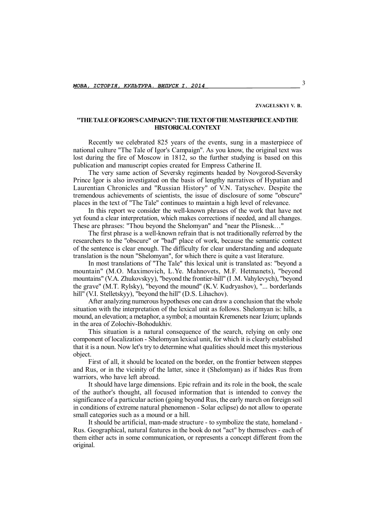#### **ZVAGELSKYI V. B.**

## **"THE TALE OF IGOR'S CAMPAIGN": THE TEXT OFTHE MASTERPIECE AND THE HISTORICAL CONTEXT**

Recently we celebrated 825 years of the events, sung in a masterpiece of national culture "The Tale of Igor's Campaign". As you know, the original text was lost during the fire of Moscow in 1812, so the further studying is based on this publication and manuscript copies created for Empress Catherine II.

The very same action of Seversky regiments headed by Novgorod-Seversky Prince Igor is also investigated on the basis of lengthy narratives of Hypatian and Laurentian Chronicles and "Russian History" of V.N. Tatyschev. Despite the tremendous achievements of scientists, the issue of disclosure of some "obscure" places in the text of "The Tale" continues to maintain a high level of relevance.

In this report we consider the well-known phrases of the work that have not yet found a clear interpretation, which makes corrections if needed, and all changes. These are phrases: "Thou beyond the Shelomyan" and "near the Plisnesk…"

The first phrase is a well-known refrain that is not traditionally referred by the researchers to the "obscure" or "bad" place of work, because the semantic context of the sentence is clear enough. The difficulty for clear understanding and adequate translation is the noun "Shelomyan", for which there is quite a vast literature.

In most translations of "The Tale" this lexical unit is translated as: "beyond a mountain" (M.O. Maximovich, L.Ye. Mahnovets, M.F. Hetmanets), "beyond mountains" (V.A. Zhukovskyy), "beyond the frontier-hill" (I .M. Vahylevych), "beyond the grave" (M.T. Rylsky), "beyond the mound" (K.V. Kudryashov), "... borderlands hill" (V.I. Stelletskyy), "beyond the hill" (D.S. Lihachov).

After analyzing numerous hypotheses one can draw a conclusion that the whole situation with the interpretation of the lexical unit as follows. Shelomyan is: hills, a mound, an elevation; a metaphor, a symbol; a mountain Kremenets near Izium; uplands in the area of Zolochiv-Bohodukhiv.

This situation is a natural consequence of the search, relying on only one component of localization - Shelomyan lexical unit, for which it is clearly established that it is a noun. Now let's try to determine what qualities should meet this mysterious object.

First of all, it should be located on the border, on the frontier between steppes and Rus, or in the vicinity of the latter, since it (Shelomyan) as if hides Rus from warriors, who have left abroad.

It should have large dimensions. Epic refrain and its role in the book, the scale of the author's thought, all focused information that is intended to convey the significance of a particular action (going beyond Rus, the early march on foreign soil in conditions of extreme natural phenomenon - Solar eclipse) do not allow to operate small categories such as a mound or a hill.

It should be artificial, man-made structure - to symbolize the state, homeland - Rus. Geographical, natural features in the book do not "act" by themselves - each of them either acts in some communication, or represents a concept different from the original.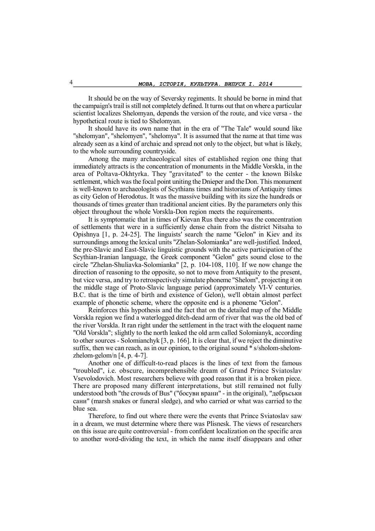It should be on the way of Seversky regiments. It should be borne in mind that the campaign's trail is still not completely defined. It turns out that on where a particular scientist localizes Shelomyan, depends the version of the route, and vice versa - the hypothetical route is tied to Shelomyan.

It should have its own name that in the era of "The Tale" would sound like "shelomyan", "shelomyen", "shelomya". It is assumed that the name at that time was already seen as a kind of archaic and spread not only to the object, but what is likely, to the whole surrounding countryside.

Among the many archaeological sites of established region one thing that immediately attracts is the concentration of monuments in the Middle Vorskla, in the area of Poltava-Okhtyrka. They "gravitated" to the center - the known Bilske settlement, which was the focal point uniting the Dnieper and the Don. This monument is well-known to archaeologists of Scythians times and historians of Antiquity times as city Gelon of Herodotus. It was the massive building with its size the hundreds or thousands of times greater than traditional ancient cities. By the parameters only this object throughout the whole Vorskla-Don region meets the requirements.

It is symptomatic that in times of Kievan Rus there also was the concentration of settlements that were in a sufficiently dense chain from the district Nitsaha to Opishnya [1, p. 24-25]. The linguists' search the name "Gelon" in Kiev and its surroundings among the lexical units "Zhelan-Solomianka" are well-justified. Indeed, the pre-Slavic and East-Slavic linguistic grounds with the active participation of the Scythian-Iranian language, the Greek component "Gelon" gets sound close to the circle "Zhelan-Shuliavka-Solomianka" [2, p. 104-108, 110]. If we now change the direction of reasoning to the opposite, so not to move from Antiquity to the present, but vice versa, and try to retrospectively simulate phoneme "Shelom", projecting it on the middle stage of Proto-Slavic language period (approximately VI-V centuries. B.C. that is the time of birth and existence of Gelon), we'll obtain almost perfect example of phonetic scheme, where the opposite end is a phoneme "Gelon".

Reinforces this hypothesis and the fact that on the detailed map of the Middle Vorskla region we find a waterlogged ditch-dead arm of river that was the old bed of the river Vorskla. It ran right under the settlement in the tract with the eloquent name "Old Vorskla"; slightly to the north leaked the old arm called Solomianyk, according to other sources - Solomianchyk [3, p. 166]. It is clear that, if we reject the diminutive suffix, then we can reach, as in our opinion, to the original sound \* s/sholom-shelomzhelom-gelom/n  $[4, p. 4-7]$ .

Another one of difficult-to-read places is the lines of text from the famous "troubled", i.e. obscure, incomprehensible dream of Grand Prince Sviatoslav Vsevolodovich. Most researchers believe with good reason that it is a broken piece. There are proposed many different interpretations, but still remained not fully understood both "the crowds of Bus" ("босуви врани" - in the original), "дебрьськи сани" (marsh snakes or funeral sledge), and who carried or what was carried to the blue sea.

Therefore, to find out where there were the events that Prince Sviatoslav saw in a dream, we must determine where there was Plisnesk. The views of researchers on this issue are quite controversial - from confident localization on the specific area to another word-dividing the text, in which the name itself disappears and other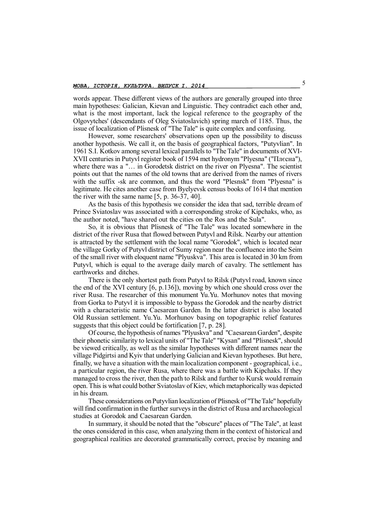words appear. These different views of the authors are generally grouped into three main hypotheses: Galician, Kievan and Linguistic. They contradict each other and, what is the most important, lack the logical reference to the geography of the Olgovytches' (descendants of Oleg Sviatoslavich) spring march of 1185. Thus, the issue of localization of Plisnesk of "The Tale" is quite complex and confusing.

However, some researchers' observations open up the possibility to discuss another hypothesis. We call it, on the basis of geographical factors, "Putyvlian". In 1961 S.I. Kotkov among several lexical parallels to "The Tale" in documents of XVI-XVII centuries in Putyvl register book of 1594 met hydronym "Plyesna" ("Плєсна"), where there was a "... in Gorodetsk district on the river on Plyesna". The scientist points out that the names of the old towns that are derived from the names of rivers with the suffix -sk are common, and thus the word "Plesnsk" from "Plyesna" is legitimate. He cites another case from Byelyevsk census books of 1614 that mention the river with the same name [5, p. 36-37, 40].

As the basis of this hypothesis we consider the idea that sad, terrible dream of Prince Sviatoslav was associated with a corresponding stroke of Kipchaks, who, as the author noted, "have shared out the cities on the Ros and the Sula".

So, it is obvious that Plisnesk of "The Tale" was located somewhere in the district of the river Rusa that flowed between Putyvl and Rilsk. Nearby our attention is attracted by the settlement with the local name "Gorodok", which is located near the village Gorky of Putyvl district of Sumy region near the confluence into the Seim of the small river with eloquent name "Plyuskva". This area is located in 30 km from Putyvl, which is equal to the average daily march of cavalry. The settlement has earthworks and ditches.

There is the only shortest path from Putyvl to Rilsk (Putyvl road, known since the end of the XVI century [6, p.136]), moving by which one should cross over the river Rusa. The researcher of this monument Yu.Yu. Morhunov notes that moving from Gorka to Putyvl it is impossible to bypass the Gorodok and the nearby district with a characteristic name Caesarean Garden. In the latter district is also located Old Russian settlement. Yu.Yu. Morhunov basing on topographic relief features suggests that this object could be fortification [7, p. 28].

Of course, the hypothesis of names "Plyuskva" and "Caesarean Garden", despite their phonetic similarity to lexical units of "The Tale" "Kysan" and "Plisnesk", should be viewed critically, as well as the similar hypotheses with different names near the village Pidgirtsi and Kyiv that underlying Galician and Kievan hypotheses. But here, finally, we have a situation with the main localization component - geographical, i.e., a particular region, the river Rusa, where there was a battle with Kipchaks. If they managed to cross the river, then the path to Rilsk and further to Kursk would remain open. This is what could bother Sviatoslav of Kiev, which metaphorically was depicted in his dream.

These considerations on Putyvlian localization of Plisnesk of "The Tale" hopefully will find confirmation in the further surveys in the district of Rusa and archaeological studies at Gorodok and Caesarean Garden.

In summary, it should be noted that the "obscure" places of "The Tale", at least the ones considered in this case, when analyzing them in the context of historical and geographical realities are decorated grammatically correct, precise by meaning and